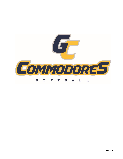